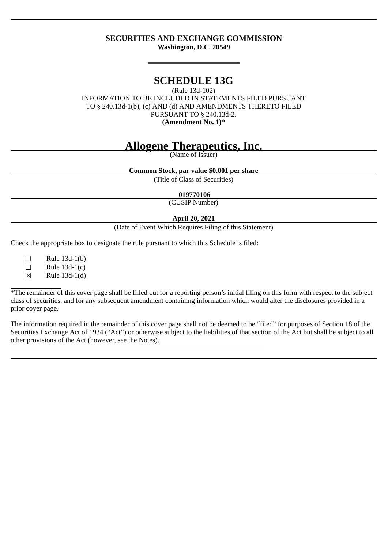## **SECURITIES AND EXCHANGE COMMISSION Washington, D.C. 20549**

# **SCHEDULE 13G**

(Rule 13d-102) INFORMATION TO BE INCLUDED IN STATEMENTS FILED PURSUANT TO § 240.13d-1(b), (c) AND (d) AND AMENDMENTS THERETO FILED PURSUANT TO § 240.13d-2. **(Amendment No. 1)\***

# **Allogene Therapeutics, Inc.**

(Name of Issuer)

**Common Stock, par value \$0.001 per share**

(Title of Class of Securities)

#### **019770106**

(CUSIP Number)

## **April 20, 2021**

(Date of Event Which Requires Filing of this Statement)

Check the appropriate box to designate the rule pursuant to which this Schedule is filed:

 $\Box$  Rule 13d-1(b)<br> $\Box$  Rule 13d-1(c)

 $\Box$  Rule 13d-1(c)<br>  $\boxtimes$  Rule 13d-1(d)

☒ Rule 13d-1(d)

\*The remainder of this cover page shall be filled out for a reporting person's initial filing on this form with respect to the subject class of securities, and for any subsequent amendment containing information which would alter the disclosures provided in a prior cover page.

The information required in the remainder of this cover page shall not be deemed to be "filed" for purposes of Section 18 of the Securities Exchange Act of 1934 ("Act") or otherwise subject to the liabilities of that section of the Act but shall be subject to all other provisions of the Act (however, see the Notes).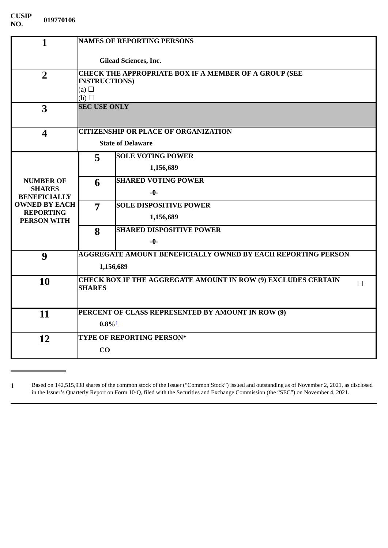| $\mathbf{1}$                                                                                                               | <b>NAMES OF REPORTING PERSONS</b>                                         |                                 |  |
|----------------------------------------------------------------------------------------------------------------------------|---------------------------------------------------------------------------|---------------------------------|--|
|                                                                                                                            | <b>Gilead Sciences, Inc.</b>                                              |                                 |  |
| $\overline{2}$                                                                                                             | <b>CHECK THE APPROPRIATE BOX IF A MEMBER OF A GROUP (SEE</b>              |                                 |  |
|                                                                                                                            | <b>INSTRUCTIONS)</b><br>(a) $\square$                                     |                                 |  |
|                                                                                                                            | (b)<br><b>SEC USE ONLY</b>                                                |                                 |  |
| 3                                                                                                                          |                                                                           |                                 |  |
|                                                                                                                            |                                                                           |                                 |  |
| $\overline{\mathbf{4}}$                                                                                                    | <b>CITIZENSHIP OR PLACE OF ORGANIZATION</b><br><b>State of Delaware</b>   |                                 |  |
|                                                                                                                            |                                                                           |                                 |  |
| <b>NUMBER OF</b><br><b>SHARES</b><br><b>BENEFICIALLY</b><br><b>OWNED BY EACH</b><br><b>REPORTING</b><br><b>PERSON WITH</b> | 5                                                                         | <b>SOLE VOTING POWER</b>        |  |
|                                                                                                                            |                                                                           | 1,156,689                       |  |
|                                                                                                                            | 6                                                                         | <b>SHARED VOTING POWER</b>      |  |
|                                                                                                                            |                                                                           | $-0-$                           |  |
|                                                                                                                            | $\overline{7}$                                                            | <b>SOLE DISPOSITIVE POWER</b>   |  |
|                                                                                                                            |                                                                           | 1,156,689                       |  |
|                                                                                                                            | 8                                                                         | <b>SHARED DISPOSITIVE POWER</b> |  |
|                                                                                                                            |                                                                           | -0-                             |  |
| 9                                                                                                                          | <b>AGGREGATE AMOUNT BENEFICIALLY OWNED BY EACH REPORTING PERSON</b>       |                                 |  |
|                                                                                                                            | 1,156,689                                                                 |                                 |  |
| 10                                                                                                                         | <b>CHECK BOX IF THE AGGREGATE AMOUNT IN ROW (9) EXCLUDES CERTAIN</b><br>П |                                 |  |
|                                                                                                                            | <b>SHARES</b>                                                             |                                 |  |
|                                                                                                                            |                                                                           |                                 |  |
| 11                                                                                                                         | PERCENT OF CLASS REPRESENTED BY AMOUNT IN ROW (9)<br>$0.8\%$ <sup>1</sup> |                                 |  |
|                                                                                                                            |                                                                           |                                 |  |
| 12                                                                                                                         | TYPE OF REPORTING PERSON*                                                 |                                 |  |
|                                                                                                                            | CO                                                                        |                                 |  |
|                                                                                                                            |                                                                           |                                 |  |

<span id="page-1-0"></span>1 Based on 142,515,938 shares of the common stock of the Issuer ("Common Stock") issued and outstanding as of November 2, 2021, as disclosed in the Issuer's Quarterly Report on Form 10-Q, filed with the Securities and Exchange Commission (the "SEC") on November 4, 2021.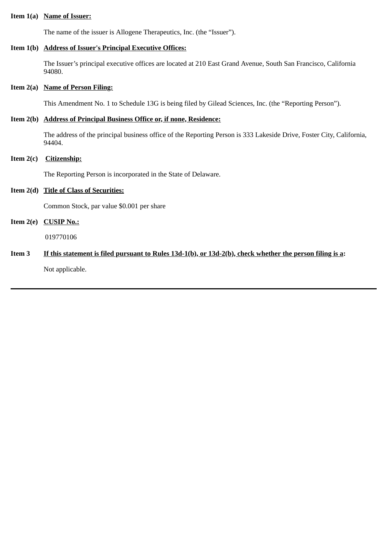#### **Item 1(a) Name of Issuer:**

The name of the issuer is Allogene Therapeutics, Inc. (the "Issuer").

## **Item 1(b) Address of Issuer's Principal Executive Offices:**

The Issuer's principal executive offices are located at 210 East Grand Avenue, South San Francisco, California 94080.

#### **Item 2(a) Name of Person Filing:**

This Amendment No. 1 to Schedule 13G is being filed by Gilead Sciences, Inc. (the "Reporting Person").

### **Item 2(b) Address of Principal Business Office or, if none, Residence:**

The address of the principal business office of the Reporting Person is 333 Lakeside Drive, Foster City, California, 94404.

#### **Item 2(c) Citizenship:**

The Reporting Person is incorporated in the State of Delaware.

#### **Item 2(d) Title of Class of Securities:**

Common Stock, par value \$0.001 per share

# **Item 2(e) CUSIP No.:**

019770106

# **Item 3 If this statement is filed pursuant to Rules 13d-1(b), or 13d-2(b), check whether the person filing is a:**

Not applicable.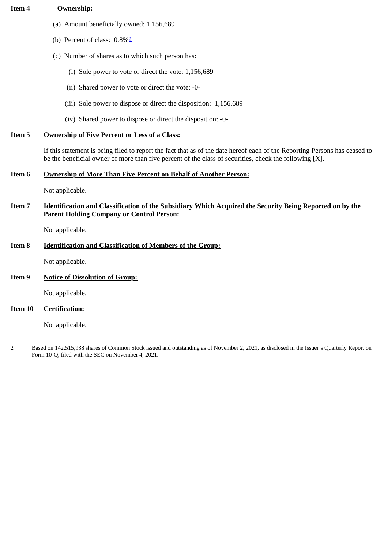# **Item 4 Ownership:**

- (a) Amount beneficially owned: 1,156,689
- (b) Percent of class: 0.8%[2](#page-3-0)
- (c) Number of shares as to which such person has:
	- (i) Sole power to vote or direct the vote: 1,156,689
	- (ii) Shared power to vote or direct the vote: -0-
	- (iii) Sole power to dispose or direct the disposition: 1,156,689
	- (iv) Shared power to dispose or direct the disposition: -0-

#### **Item 5 Ownership of Five Percent or Less of a Class:**

If this statement is being filed to report the fact that as of the date hereof each of the Reporting Persons has ceased to be the beneficial owner of more than five percent of the class of securities, check the following [X].

# **Item 6 Ownership of More Than Five Percent on Behalf of Another Person:**

Not applicable.

**Item 7 Identification and Classification of the Subsidiary Which Acquired the Security Being Reported on by the Parent Holding Company or Control Person:**

Not applicable.

#### **Item 8 Identification and Classification of Members of the Group:**

Not applicable.

#### **Item 9 Notice of Dissolution of Group:**

Not applicable.

#### **Item 10 Certification:**

Not applicable.

<span id="page-3-0"></span>2 Based on 142,515,938 shares of Common Stock issued and outstanding as of November 2, 2021, as disclosed in the Issuer's Quarterly Report on Form 10-Q, filed with the SEC on November 4, 2021.